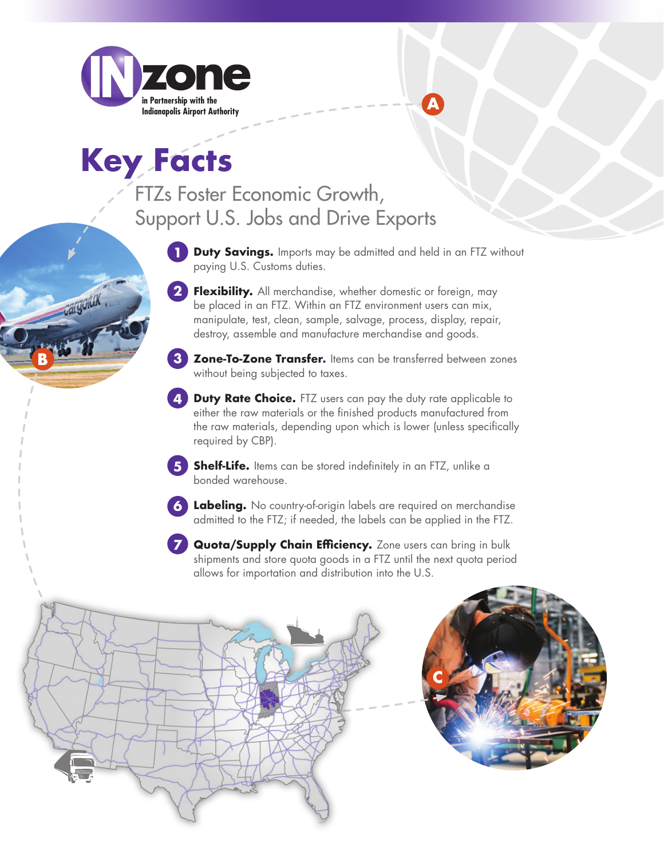

**Key Facts**

cargolux

## FTZs Foster Economic Growth, Support U.S. Jobs and Drive Exports

- **1** Duty Savings. Imports may be admitted and held in an FTZ without paying U.S. Customs duties.
- **Flexibility.** All merchandise, whether domestic or foreign, may be placed in an FTZ. Within an FTZ environment users can mix, manipulate, test, clean, sample, salvage, process, display, repair, destroy, assemble and manufacture merchandise and goods. **2**
- **Zone-To-Zone Transfer.** Items can be transferred between zones without being subjected to taxes. **3**
- **Duty Rate Choice.** FTZ users can pay the duty rate applicable to either the raw materials or the finished products manufactured from the raw materials, depending upon which is lower (unless specifically required by CBP). **4**
- **Shelf-Life.** Items can be stored indefinitely in an FTZ, unlike a bonded warehouse. **5**
- **Labeling.** No country-of-origin labels are required on merchandise **6** admitted to the FTZ; if needed, the labels can be applied in the FTZ.
- **Quota/Supply Chain Efficiency.** Zone users can bring in bulk shipments and store quota goods in a FTZ until the next quota period allows for importation and distribution into the U.S. **7**